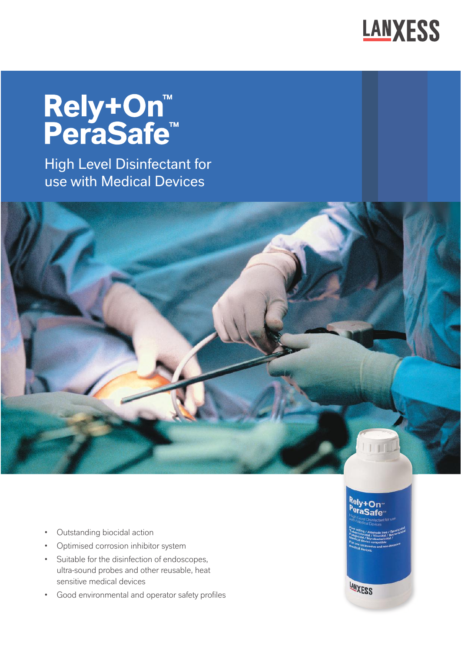

# **Rely+On™**<br>PeraSafe™

High Level Disinfectant for use with Medical Devices



- Optimised corrosion inhibitor system
- Suitable for the disinfection of endoscopes, ultra-sound probes and other reusable, heat sensitive medical devices
- Good environmental and operator safety profiles

## Rely+On<br>PeraSafe

LANXESS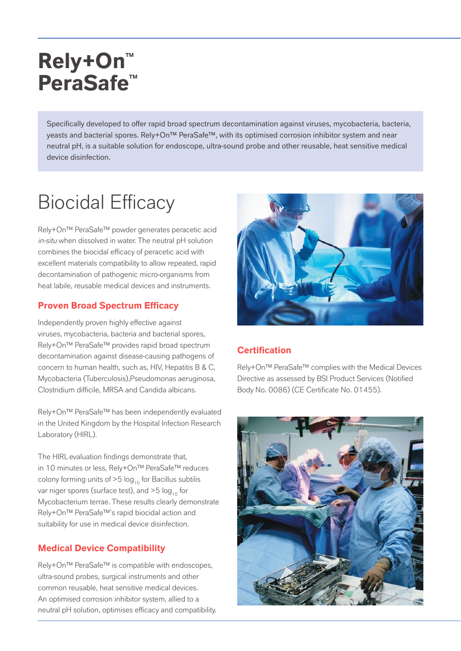## **Rely+On™** PeraSafe<sup>™</sup>

Specifically developed to offer rapid broad spectrum decontamination against viruses, mycobacteria, bacteria, yeasts and bacterial spores. Rely+On<sup>™</sup> PeraSafe<sup>™</sup>, with its optimised corrosion inhibitor system and near neutral pH, is a suitable solution for endoscope, ultra-sound probe and other reusable, heat sensitive medical device disinfection.

## **Biocidal Efficacy**

Rely+On™ PeraSafe™ powder generates peracetic acid *in-situ* when dissolved in water. The neutral pH solution combines the biocidal efficacy of peracetic acid with excellent materials compatibility to allow repeated, rapid decontamination of pathogenic micro-organisms from heat labile, reusable medical devices and instruments.

#### **Proven Broad Spectrum Efficacy**

Independently proven highly effective against viruses, mycobacteria, bacteria and bacterial spores, Rely+On™ PeraSafe™ provides rapid broad spectrum decontamination against disease-causing pathogens of concern to human health, such as, HIV, Hepatitis B & C, Mycobacteria (Tuberculosis),Pseudomonas aeruginosa, Clostridium difficile, MRSA and Candida albicans.

Rely+On™ PeraSafe™ has been independently evaluated in the United Kingdom by the Hospital Infection Research Laboratory (HIRL).

The HIRL evaluation findings demonstrate that, in 10 minutes or less, Rely+On™ PeraSafe™ reduces colony forming units of  $>5$  log<sub>10</sub> for Bacillus subtilis var niger spores (surface test), and  $>5$  log<sub>10</sub> for Mycobacterium terrae. These results clearly demonstrate Rely+On™ PeraSafe™'s rapid biocidal action and suitability for use in medical device disinfection.

### **Medical Device Compatibility**

Rely+On™ PeraSafe™ is compatible with endoscopes, ultra-sound probes, surgical instruments and other common reusable, heat sensitive medical devices. An optimised corrosion inhibitor system, allied to a neutral pH solution, optimises efficacy and compatibility.



### **Certification**

Rely+On™ PeraSafe™ complies with the Medical Devices Directive as assessed by BSI Product Services (Notified Body No. 0086) (CE Certificate No. 01455).

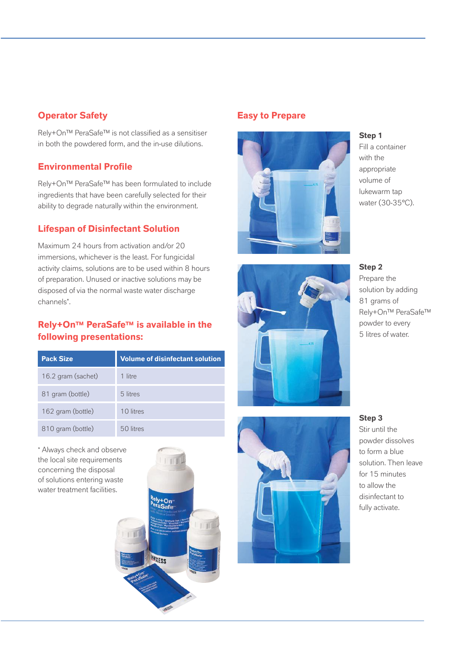#### **2DBubbs**

Rely+On™ PeraSafe™ is not classified as a sensitiser in both the powdered form, and the in-use dilutions.

#### **Environmental Profile**

Rely+On™ PeraSafe™ has been formulated to include ingredients that have been carefully selected for their ability to degrade naturally within the environment.

#### **Lifespan of Disinfectant Solution**

Maximum 24 hours from activation and/or 20 immersions, whichever is the least. For fungicidal activity claims, solutions are to be used within 8 hours of preparation. Unused or inactive solutions may be disposed of via the normal waste water discharge channels\*.

#### **Rely+On™ PeraSafe™** is available in the **following presentations:**

| <b>Pack Size</b>   | <b>Volume of disinfectant solution</b> |
|--------------------|----------------------------------------|
| 16.2 gram (sachet) | 1 litre                                |
| 81 gram (bottle)   | 5 litres                               |
| 162 gram (bottle)  | 10 litres                              |
| 810 gram (bottle)  | 50 litres                              |

\* Always check and observe the local site requirements concerning the disposal of solutions entering waste water treatment facilities.



#### **Easy to Prepare**



**Step 1**

Fill a container with the appropriate volume of lukewarm tap water (30-35°C).

**Step 2** Prepare the solution by adding 81 grams of Rely+On™ PeraSafe™ powder to every 5 litres of water.

### **Step 3** Stir until the powder dissolves to form a blue solution Then leave for 15 minutes to allow the disinfectant to fully activate.